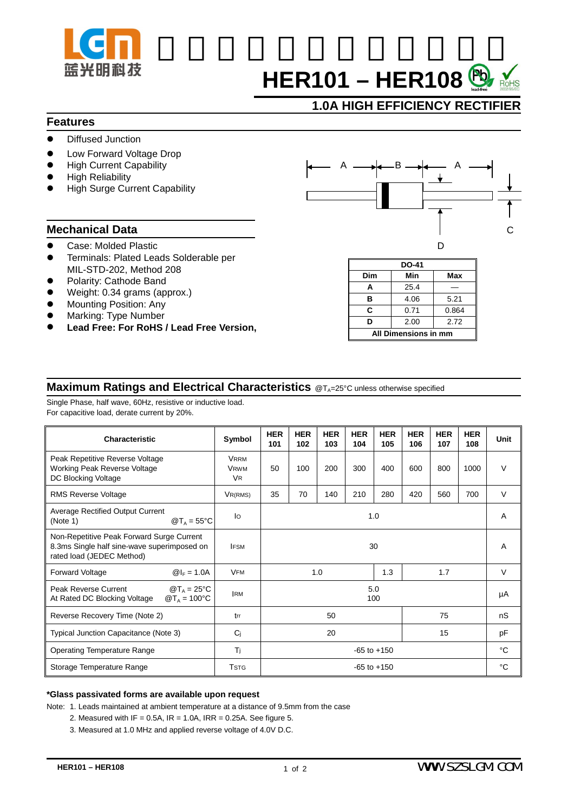

# **HER101 – HER108**

## **1.0A HIGH EFFICIENCY RECTIFIER**

### **Features**

- Diffused Junction
- Low Forward Voltage Drop
- **High Current Capability**
- **High Reliability**
- **High Surge Current Capability**

- 
- ! Terminals: Plated Leads Solderable per MIL-STD-202, Method 208
- Polarity: Cathode Band
- Weight: 0.34 grams (approx.)
- Mounting Position: Any
- Marking: Type Number
- ! **Lead Free: For RoHS / Lead Free Version,**



| <b>DO-41</b>         |      |       |  |  |  |  |  |  |
|----------------------|------|-------|--|--|--|--|--|--|
| Dim                  | Min  | Max   |  |  |  |  |  |  |
| А                    | 25.4 |       |  |  |  |  |  |  |
| в                    | 4.06 | 5.21  |  |  |  |  |  |  |
| C                    | 0.71 | 0.864 |  |  |  |  |  |  |
| D                    | 2.00 | 2.72  |  |  |  |  |  |  |
| All Dimensions in mm |      |       |  |  |  |  |  |  |

## **Maximum Ratings and Electrical Characteristics** @T<sub>A</sub>=25°C unless otherwise specified

Single Phase, half wave, 60Hz, resistive or inductive load. For capacitive load, derate current by 20%.

| Characteristic                                                                                                        | Symbol                                             | <b>HER</b><br>101 | <b>HER</b><br>102 | <b>HER</b><br>103 | <b>HER</b><br>104 | <b>HER</b><br>105 | <b>HER</b><br>106 | <b>HER</b><br>107 | <b>HER</b><br>108 | Unit   |
|-----------------------------------------------------------------------------------------------------------------------|----------------------------------------------------|-------------------|-------------------|-------------------|-------------------|-------------------|-------------------|-------------------|-------------------|--------|
| Peak Repetitive Reverse Voltage<br><b>Working Peak Reverse Voltage</b><br>DC Blocking Voltage                         | <b>VRRM</b><br><b>VRWM</b><br><b>V<sub>R</sub></b> | 50                | 100               | 200               | 300               | 400               | 600               | 800               | 1000              | $\vee$ |
| <b>RMS Reverse Voltage</b>                                                                                            | $V_{R(RMS)}$                                       | 35                | 70                | 140               | 210               | 280               | 420               | 560               | 700               | $\vee$ |
| Average Rectified Output Current<br>$@T_A = 55°C$<br>(Note 1)                                                         | lo                                                 | 1.0               |                   |                   |                   |                   |                   |                   |                   | A      |
| Non-Repetitive Peak Forward Surge Current<br>8.3ms Single half sine-wave superimposed on<br>rated load (JEDEC Method) | <b>IFSM</b>                                        | 30                |                   |                   |                   |                   |                   |                   | A                 |        |
| <b>Forward Voltage</b><br>$@I_{F} = 1.0A$                                                                             | <b>VFM</b>                                         | 1.3<br>1.7<br>1.0 |                   |                   |                   |                   | $\vee$            |                   |                   |        |
| $\mathcal{D}T_A = 25^{\circ}C$<br>Peak Reverse Current<br>At Rated DC Blocking Voltage<br>$@T_A = 100°C$              | <b>IRM</b>                                         | 5.0<br>100        |                   |                   |                   |                   |                   |                   |                   | μA     |
| Reverse Recovery Time (Note 2)                                                                                        | trr                                                | 50<br>75          |                   |                   |                   |                   |                   | nS                |                   |        |
| Typical Junction Capacitance (Note 3)                                                                                 | Ci                                                 | 20<br>15          |                   |                   |                   |                   |                   | pF                |                   |        |
| <b>Operating Temperature Range</b>                                                                                    | Tj                                                 | $-65$ to $+150$   |                   |                   |                   |                   |                   |                   | °C                |        |
| Storage Temperature Range                                                                                             | <b>TSTG</b>                                        | $-65$ to $+150$   |                   |                   |                   |                   |                   |                   | °C                |        |

### **\*Glass passivated forms are available upon request**

Note: 1. Leads maintained at ambient temperature at a distance of 9.5mm from the case

- 2. Measured with IF =  $0.5A$ , IR =  $1.0A$ , IRR =  $0.25A$ . See figure 5.
- 3. Measured at 1.0 MHz and applied reverse voltage of 4.0V D.C.